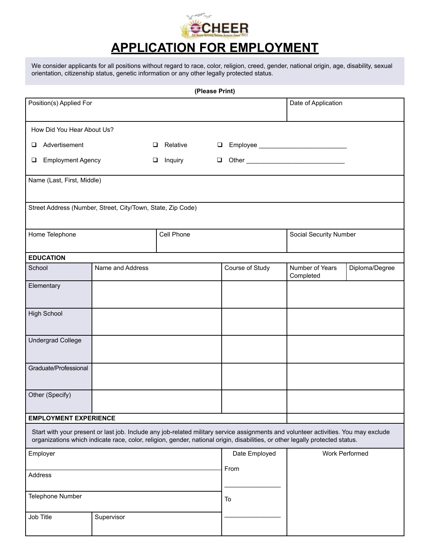

# **APPLICATION FOR EMPLOYMENT**

We consider applicants for all positions without regard to race, color, religion, creed, gender, national origin, age, disability, sexual orientation, citizenship status, genetic information or any other legally protected status.

| (Please Print)                                                                                                                                                                                                                                                       |                  |            |                 |                              |                |
|----------------------------------------------------------------------------------------------------------------------------------------------------------------------------------------------------------------------------------------------------------------------|------------------|------------|-----------------|------------------------------|----------------|
| Position(s) Applied For                                                                                                                                                                                                                                              |                  |            |                 | Date of Application          |                |
| How Did You Hear About Us?                                                                                                                                                                                                                                           |                  |            |                 |                              |                |
| Advertisement<br>o.                                                                                                                                                                                                                                                  | $\Box$           | Relative   |                 |                              |                |
| <b>Employment Agency</b><br>$\Box$<br>$\Box$                                                                                                                                                                                                                         |                  | Inquiry    | $\Box$          |                              |                |
| Name (Last, First, Middle)                                                                                                                                                                                                                                           |                  |            |                 |                              |                |
| Street Address (Number, Street, City/Town, State, Zip Code)                                                                                                                                                                                                          |                  |            |                 |                              |                |
| Home Telephone                                                                                                                                                                                                                                                       |                  | Cell Phone |                 | Social Security Number       |                |
| <b>EDUCATION</b>                                                                                                                                                                                                                                                     |                  |            |                 |                              |                |
| School                                                                                                                                                                                                                                                               | Name and Address |            | Course of Study | Number of Years<br>Completed | Diploma/Degree |
| Elementary                                                                                                                                                                                                                                                           |                  |            |                 |                              |                |
| <b>High School</b>                                                                                                                                                                                                                                                   |                  |            |                 |                              |                |
| <b>Undergrad College</b>                                                                                                                                                                                                                                             |                  |            |                 |                              |                |
| Graduate/Professional                                                                                                                                                                                                                                                |                  |            |                 |                              |                |
| Other (Specify)                                                                                                                                                                                                                                                      |                  |            |                 |                              |                |
| <b>EMPLOYMENT EXPERIENCE</b>                                                                                                                                                                                                                                         |                  |            |                 |                              |                |
| Start with your present or last job. Include any job-related military service assignments and volunteer activities. You may exclude<br>organizations which indicate race, color, religion, gender, national origin, disabilities, or other legally protected status. |                  |            |                 |                              |                |
| Employer                                                                                                                                                                                                                                                             |                  |            | Date Employed   | <b>Work Performed</b>        |                |
| Address                                                                                                                                                                                                                                                              |                  |            | From            |                              |                |
| Telephone Number                                                                                                                                                                                                                                                     |                  |            | To              |                              |                |
| Job Title                                                                                                                                                                                                                                                            | Supervisor       |            |                 |                              |                |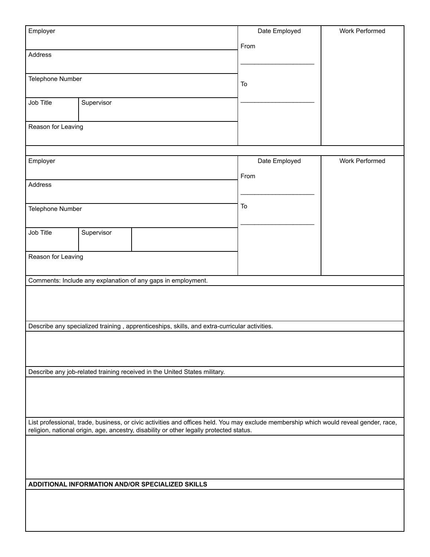| Employer                                                                                                                                                                                                                         |            |                                                                                              | Date Employed | Work Performed |
|----------------------------------------------------------------------------------------------------------------------------------------------------------------------------------------------------------------------------------|------------|----------------------------------------------------------------------------------------------|---------------|----------------|
|                                                                                                                                                                                                                                  |            |                                                                                              | From          |                |
| Address                                                                                                                                                                                                                          |            |                                                                                              |               |                |
|                                                                                                                                                                                                                                  |            |                                                                                              |               |                |
| Telephone Number                                                                                                                                                                                                                 |            |                                                                                              | To            |                |
|                                                                                                                                                                                                                                  |            |                                                                                              |               |                |
| Job Title                                                                                                                                                                                                                        | Supervisor |                                                                                              |               |                |
|                                                                                                                                                                                                                                  |            |                                                                                              |               |                |
| Reason for Leaving                                                                                                                                                                                                               |            |                                                                                              |               |                |
|                                                                                                                                                                                                                                  |            |                                                                                              |               |                |
|                                                                                                                                                                                                                                  |            |                                                                                              |               |                |
| Employer                                                                                                                                                                                                                         |            |                                                                                              | Date Employed | Work Performed |
|                                                                                                                                                                                                                                  |            |                                                                                              | From          |                |
| Address                                                                                                                                                                                                                          |            |                                                                                              |               |                |
|                                                                                                                                                                                                                                  |            |                                                                                              |               |                |
| Telephone Number                                                                                                                                                                                                                 |            |                                                                                              | To            |                |
|                                                                                                                                                                                                                                  |            |                                                                                              |               |                |
| Job Title                                                                                                                                                                                                                        | Supervisor |                                                                                              |               |                |
|                                                                                                                                                                                                                                  |            |                                                                                              |               |                |
| Reason for Leaving                                                                                                                                                                                                               |            |                                                                                              |               |                |
|                                                                                                                                                                                                                                  |            |                                                                                              |               |                |
|                                                                                                                                                                                                                                  |            | Comments: Include any explanation of any gaps in employment.                                 |               |                |
|                                                                                                                                                                                                                                  |            |                                                                                              |               |                |
|                                                                                                                                                                                                                                  |            |                                                                                              |               |                |
|                                                                                                                                                                                                                                  |            |                                                                                              |               |                |
|                                                                                                                                                                                                                                  |            | Describe any specialized training, apprenticeships, skills, and extra-curricular activities. |               |                |
|                                                                                                                                                                                                                                  |            |                                                                                              |               |                |
|                                                                                                                                                                                                                                  |            |                                                                                              |               |                |
|                                                                                                                                                                                                                                  |            |                                                                                              |               |                |
| Describe any job-related training received in the United States military.                                                                                                                                                        |            |                                                                                              |               |                |
|                                                                                                                                                                                                                                  |            |                                                                                              |               |                |
|                                                                                                                                                                                                                                  |            |                                                                                              |               |                |
|                                                                                                                                                                                                                                  |            |                                                                                              |               |                |
| List professional, trade, business, or civic activities and offices held. You may exclude membership which would reveal gender, race,<br>religion, national origin, age, ancestry, disability or other legally protected status. |            |                                                                                              |               |                |
|                                                                                                                                                                                                                                  |            |                                                                                              |               |                |
|                                                                                                                                                                                                                                  |            |                                                                                              |               |                |
|                                                                                                                                                                                                                                  |            |                                                                                              |               |                |
|                                                                                                                                                                                                                                  |            |                                                                                              |               |                |
| ADDITIONAL INFORMATION AND/OR SPECIALIZED SKILLS                                                                                                                                                                                 |            |                                                                                              |               |                |
|                                                                                                                                                                                                                                  |            |                                                                                              |               |                |
|                                                                                                                                                                                                                                  |            |                                                                                              |               |                |
|                                                                                                                                                                                                                                  |            |                                                                                              |               |                |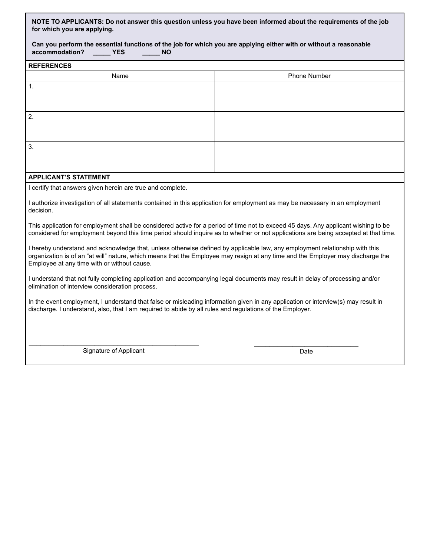**NOTE TO APPLICANTS: Do not answer this question unless you have been informed about the requirements of the job for which you are applying.** 

|                |            |    | Can you perform the essential functions of the job for which you are applying either with or without a reasonable |
|----------------|------------|----|-------------------------------------------------------------------------------------------------------------------|
| accommodation? | <b>YES</b> | NΟ |                                                                                                                   |

| <b>REFERENCES</b> |              |  |
|-------------------|--------------|--|
| Name              | Phone Number |  |
| $\overline{1}$ .  |              |  |
|                   |              |  |
|                   |              |  |
| $\overline{2}$ .  |              |  |
|                   |              |  |
|                   |              |  |
| 3.                |              |  |
|                   |              |  |
|                   |              |  |

### **APPLICANT'S STATEMENT**

I certify that answers given herein are true and complete.

I authorize investigation of all statements contained in this application for employment as may be necessary in an employment decision.

This application for employment shall be considered active for a period of time not to exceed 45 days. Any applicant wishing to be considered for employment beyond this time period should inquire as to whether or not applications are being accepted at that time.

I hereby understand and acknowledge that, unless otherwise defined by applicable law, any employment relationship with this organization is of an "at will" nature, which means that the Employee may resign at any time and the Employer may discharge the Employee at any time with or without cause.

I understand that not fully completing application and accompanying legal documents may result in delay of processing and/or elimination of interview consideration process.

In the event employment, I understand that false or misleading information given in any application or interview(s) may result in discharge. I understand, also, that I am required to abide by all rules and regulations of the Employer.

\_\_\_\_\_\_\_\_\_\_\_\_\_\_\_\_\_\_\_\_\_\_\_\_\_\_\_\_\_\_\_\_\_\_\_\_\_\_\_\_\_\_\_\_ Signature of Applicant

\_\_\_\_\_\_\_\_\_\_\_\_\_\_\_\_\_\_\_\_\_\_\_\_\_\_\_ Date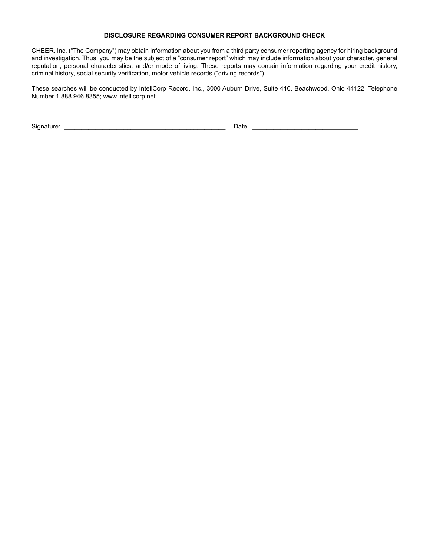#### **DISCLOSURE REGARDING CONSUMER REPORT BACKGROUND CHECK**

CHEER, Inc. ("The Company") may obtain information about you from a third party consumer reporting agency for hiring background and investigation. Thus, you may be the subject of a "consumer report" which may include information about your character, general reputation, personal characteristics, and/or mode of living. These reports may contain information regarding your credit history, criminal history, social security verification, motor vehicle records ("driving records").

These searches will be conducted by IntellCorp Record, Inc., 3000 Auburn Drive, Suite 410, Beachwood, Ohio 44122; Telephone Number 1.888.946.8355; www.intellicorp.net.

Signature: \_\_\_\_\_\_\_\_\_\_\_\_\_\_\_\_\_\_\_\_\_\_\_\_\_\_\_\_\_\_\_\_\_\_\_\_\_\_\_\_\_\_\_\_\_\_ Date: \_\_\_\_\_\_\_\_\_\_\_\_\_\_\_\_\_\_\_\_\_\_\_\_\_\_\_\_\_\_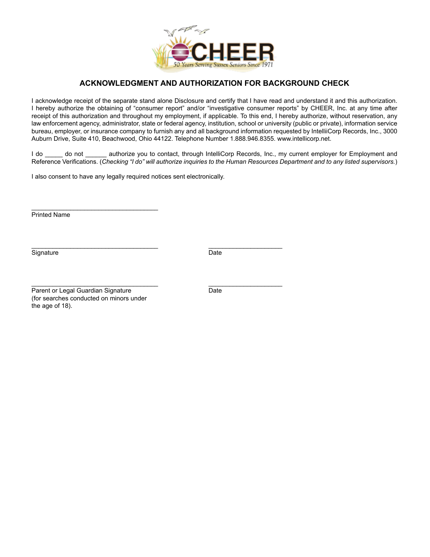

## **ACKNOWLEDGMENT AND AUTHORIZATION FOR BACKGROUND CHECK**

I acknowledge receipt of the separate stand alone Disclosure and certify that I have read and understand it and this authorization. I hereby authorize the obtaining of "consumer report" and/or "investigative consumer reports" by CHEER, Inc. at any time after receipt of this authorization and throughout my employment, if applicable. To this end, I hereby authorize, without reservation, any law enforcement agency, administrator, state or federal agency, institution, school or university (public or private), information service bureau, employer, or insurance company to furnish any and all background information requested by IntelliiCorp Records, Inc., 3000 Auburn Drive, Suite 410, Beachwood, Ohio 44122. Telephone Number 1.888.946.8355. www.intellicorp.net.

I do do not authorize you to contact, through IntelliCorp Records, Inc., my current employer for Employment and Reference Verifications. (*Checking "I do" will authorize inquiries to the Human Resources Department and to any listed supervisors.*)

I also consent to have any legally required notices sent electronically.

Printed Name

Signature Date

 $\overline{\phantom{a}}$  , and the set of the set of the set of the set of the set of the set of the set of the set of the set of the set of the set of the set of the set of the set of the set of the set of the set of the set of the s

 $\overline{\phantom{a}}$  , and the set of the set of the set of the set of the set of the set of the set of the set of the set of the set of the set of the set of the set of the set of the set of the set of the set of the set of the s Parent or Legal Guardian Signature **Date** Date (for searches conducted on minors under the age of 18).

\_\_\_\_\_\_\_\_\_\_\_\_\_\_\_\_\_\_\_\_\_\_\_\_\_\_\_\_\_\_\_\_\_\_\_\_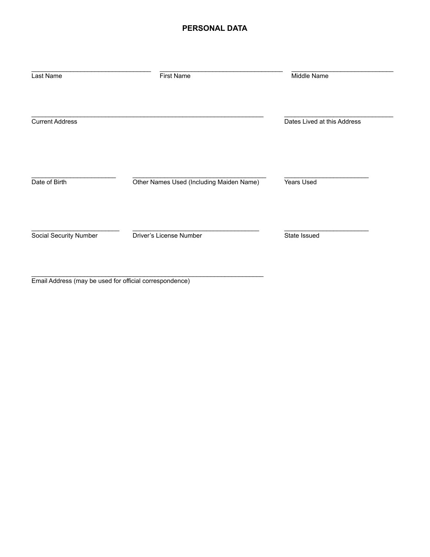## **PERSONAL DATA**

| Last Name              | <b>First Name</b>                        | Middle Name                 |
|------------------------|------------------------------------------|-----------------------------|
| <b>Current Address</b> |                                          | Dates Lived at this Address |
| Date of Birth          | Other Names Used (Including Maiden Name) | Years Used                  |
| Social Security Number | Driver's License Number                  | State Issued                |
|                        |                                          |                             |

Email Address (may be used for official correspondence)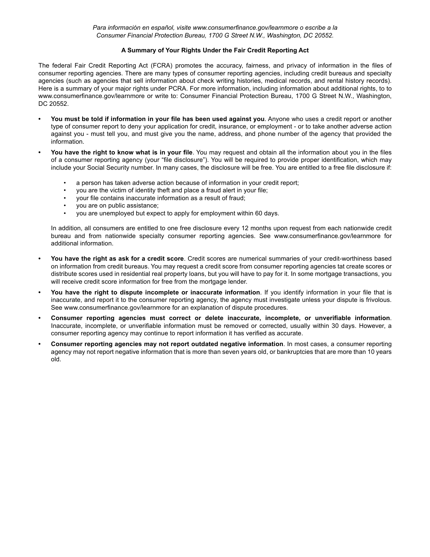## **A Summary of Your Rights Under the Fair Credit Reporting Act**

The federal Fair Credit Reporting Act (FCRA) promotes the accuracy, fairness, and privacy of information in the files of consumer reporting agencies. There are many types of consumer reporting agencies, including credit bureaus and specialty agencies (such as agencies that sell information about check writing histories, medical records, and rental history records). Here is a summary of your major rights under PCRA. For more information, including information about additional rights, to to www.consumerfinance.gov/learnmore or write to: Consumer Financial Protection Bureau, 1700 G Street N.W., Washington, DC 20552.

- **• You must be told if information in your file has been used against you**. Anyone who uses a credit report or another type of consumer report to deny your application for credit, insurance, or employment - or to take another adverse action against you - must tell you, and must give you the name, address, and phone number of the agency that provided the information.
- **• You have the right to know what is in your file**. You may request and obtain all the information about you in the files of a consumer reporting agency (your "file disclosure"). You will be required to provide proper identification, which may include your Social Security number. In many cases, the disclosure will be free. You are entitled to a free file disclosure if:
	- a person has taken adverse action because of information in your credit report;
	- you are the victim of identity theft and place a fraud alert in your file;
	- your file contains inaccurate information as a result of fraud;
	- you are on public assistance;<br>• you are unamplayed but axas
	- you are unemployed but expect to apply for employment within 60 days.

In addition, all consumers are entitled to one free disclosure every 12 months upon request from each nationwide credit bureau and from nationwide specialty consumer reporting agencies. See www.consumerfinance.gov/learnmore for additional information.

- **• You have the right as ask for a credit score**. Credit scores are numerical summaries of your credit-worthiness based on information from credit bureaus. You may request a credit score from consumer reporting agencies tat create scores or distribute scores used in residential real property loans, but you will have to pay for it. In some mortgage transactions, you will receive credit score information for free from the mortgage lender.
- **• You have the right to dispute incomplete or inaccurate information**. If you identify information in your file that is inaccurate, and report it to the consumer reporting agency, the agency must investigate unless your dispute is frivolous. See www.consumerfinance.gov/learnmore for an explanation of dispute procedures.
- **• Consumer reporting agencies must correct or delete inaccurate, incomplete, or unverifiable information**. Inaccurate, incomplete, or unverifiable information must be removed or corrected, usually within 30 days. However, a consumer reporting agency may continue to report information it has verified as accurate.
- **• Consumer reporting agencies may not report outdated negative information**. In most cases, a consumer reporting agency may not report negative information that is more than seven years old, or bankruptcies that are more than 10 years old.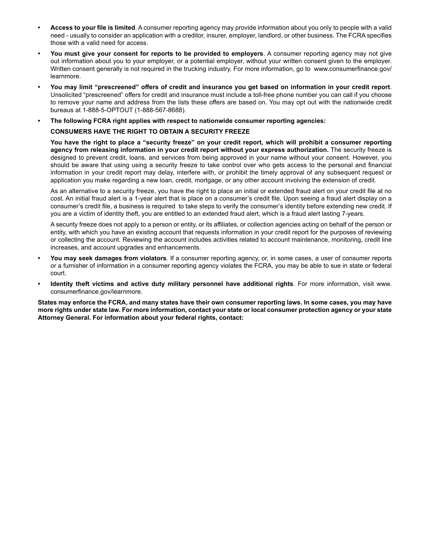- **• Access to your file is limited**. A consumer reporting agency may provide information about you only to people with a valid need - usually to consider an application with a creditor, insurer, employer, landlord, or other business. The FCRA specifies those with a valid need for access.
- **• You must give your consent for reports to be provided to employers**. A consumer reporting agency may not give out information about you to your employer, or a potential employer, without your written consent given to the employer. Written consent generally is not required in the trucking industry. For more information, go to www.consumerfinance.gov/ learnmore.
- **• You may limit "prescreened" offers of credit and insurance you get based on information in your credit report**. Unsolicited "prescreened" offers for credit and insurance must include a toll-free phone number you can call if you choose to remove your name and address from the lists these offers are based on. You may opt out with the nationwide credit bureaus at 1-888-5-OPTOUT (1-888-567-8688).
- **• The following FCRA right applies with respect to nationwide consumer reporting agencies:**

## **CONSUMERS HAVE THE RIGHT TO OBTAIN A SECURITY FREEZE**

**You have the right to place a "security freeze" on your credit report, which will prohibit a consumer reporting agency from releasing information in your credit report without your express authorization.** The security freeze is designed to prevent credit, loans, and services from being approved in your name without your consent. However, you should be aware that using using a security freeze to take control over who gets access to the personal and financial information in your credit report may delay, interfere with, or prohibit the timely approval of any subsequent request or application you make regarding a new loan, credit, mortgage, or any other account involving the extension of credit.

As an alternative to a security freeze, you have the right to place an initial or extended fraud alert on your credit file at no cost. An initial fraud alert is a 1-year alert that is place on a consumer's credit file. Upon seeing a fraud alert display on a consumer's credit file, a business is required to take steps to verify the consumer's identity before extending new credit. If you are a victim of identity theft, you are entitled to an extended fraud alert, which is a fraud alert lasting 7-years.

A security freeze does not apply to a person or entity, or its affiliates, or collection agencies acting on behalf of the person or entity, with which you have an existing account that requests information in your credit report for the purposes of reviewing or collecting the account. Reviewing the account includes activities related to account maintenance, monitoring, credit line increases, and account upgrades and enhancements.

- **• You may seek damages from violators**. If a consumer reporting agency, or, in some cases, a user of consumer reports or a furnisher of information in a consumer reporting agency violates the FCRA, you may be able to sue in state or federal court.
- **• Identity theft victims and active duty military personnel have additional rights**. For more information, visit www. consumerfinance.gov/learnmore.

**States may enforce the FCRA, and many states have their own consumer reporting laws. In some cases, you may have more rights under state law. For more information, contact your state or local consumer protection agency or your state Attorney General. For information about your federal rights, contact:**